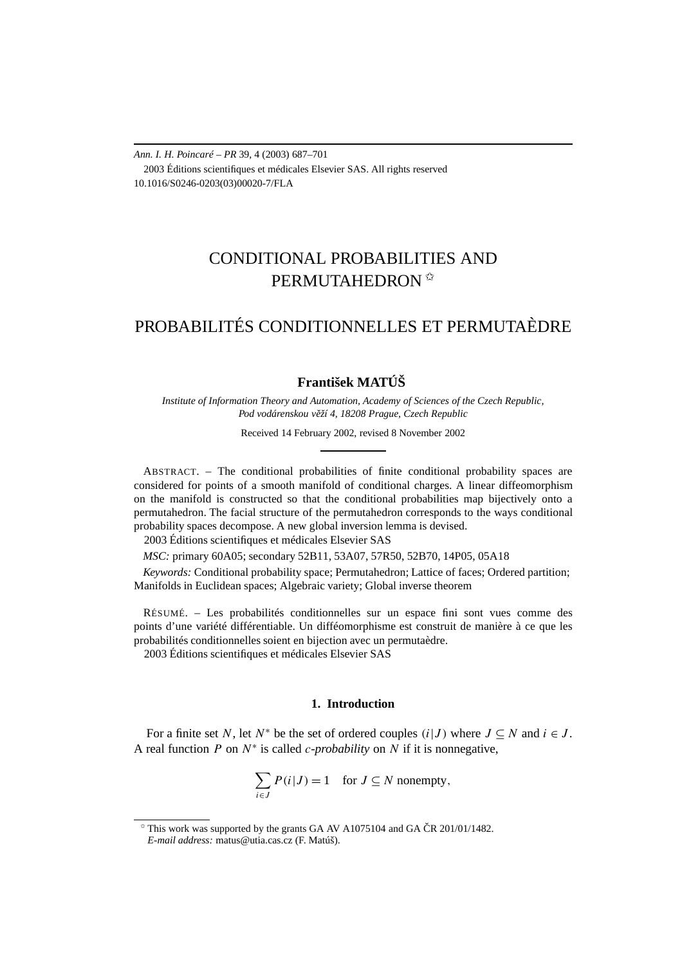*Ann. I. H. Poincaré – PR* 39, 4 (2003) 687–701 2003 Éditions scientifiques et médicales Elsevier SAS. All rights reserved 10.1016/S0246-0203(03)00020-7/FLA

# CONDITIONAL PROBABILITIES AND PERMUTAHEDRON<sup><sup>☆</sup></sup>

# PROBABILITÉS CONDITIONNELLES ET PERMUTAÈDRE

# **František MATÚŠ**

*Institute of Information Theory and Automation, Academy of Sciences of the Czech Republic,* Pod vodárenskou věží 4, 18208 Prague, Czech Republic

Received 14 February 2002, revised 8 November 2002

ABSTRACT. – The conditional probabilities of finite conditional probability spaces are considered for points of a smooth manifold of conditional charges. A linear diffeomorphism on the manifold is constructed so that the conditional probabilities map bijectively onto a permutahedron. The facial structure of the permutahedron corresponds to the ways conditional probability spaces decompose. A new global inversion lemma is devised.

2003 Éditions scientifiques et médicales Elsevier SAS

*MSC:* primary 60A05; secondary 52B11, 53A07, 57R50, 52B70, 14P05, 05A18

*Keywords:* Conditional probability space; Permutahedron; Lattice of faces; Ordered partition; Manifolds in Euclidean spaces; Algebraic variety; Global inverse theorem

RÉSUMÉ. – Les probabilités conditionnelles sur un espace fini sont vues comme des points d'une variété différentiable. Un difféomorphisme est construit de manière à ce que les probabilités conditionnelles soient en bijection avec un permutaèdre.

2003 Éditions scientifiques et médicales Elsevier SAS

# **1. Introduction**

For a finite set *N*, let  $N^*$  be the set of ordered couples  $(i|J)$  where  $J \subseteq N$  and  $i \in J$ . A real function *P* on *N*<sup>∗</sup> is called *c-probability* on *N* if it is nonnegative,

$$
\sum_{i \in J} P(i|J) = 1 \quad \text{for } J \subseteq N \text{ nonempty,}
$$

 $*$  This work was supported by the grants GA AV A1075104 and GA CR 201/01/1482.

*E-mail address:* matus@utia.cas.cz (F. Matúš).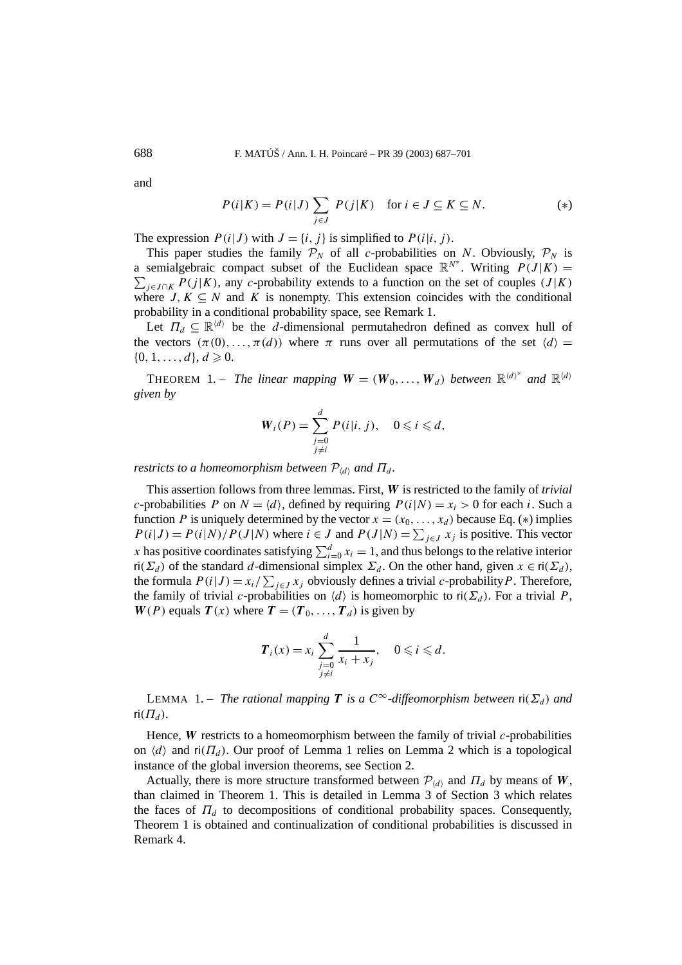and

$$
P(i|K) = P(i|J) \sum_{j \in J} P(j|K) \quad \text{for } i \in J \subseteq K \subseteq N. \tag{*}
$$

The expression  $P(i|J)$  with  $J = \{i, j\}$  is simplified to  $P(i|i, j)$ .

This paper studies the family  $P_N$  of all *c*-probabilities on *N*. Obviously,  $P_N$  is a semialgebraic compact subset of the Euclidean space  $\mathbb{R}^{N^*}$ . Writing  $P(J|K)$  =  $\sum_{j \in J \cap K} P(j|K)$ , any *c*-probability extends to a function on the set of couples  $(J|K)$ where *J*,  $K \subseteq N$  and *K* is nonempty. This extension coincides with the conditional probability in a conditional probability space, see Remark 1.

Let  $\Pi_d \subseteq \mathbb{R}^{\langle d \rangle}$  be the *d*-dimensional permutahedron defined as convex hull of the vectors  $(\pi(0), \ldots, \pi(d))$  where  $\pi$  runs over all permutations of the set  $\langle d \rangle =$  $\{0, 1, \ldots, d\}, d \geq 0.$ 

THEOREM 1. – *The linear mapping*  $W = (W_0, \ldots, W_d)$  *between*  $\mathbb{R}^{\langle d \rangle^*}$  and  $\mathbb{R}^{\langle d \rangle}$ *given by*

$$
W_i(P) = \sum_{\substack{j=0 \ j \neq i}}^d P(i|i, j), \quad 0 \leq i \leq d,
$$

*restricts to a homeomorphism between*  $\mathcal{P}_{\langle d \rangle}$  and  $\Pi_d$ .

This assertion follows from three lemmas. First, *W* is restricted to the family of *trivial c*-probabilities *P* on  $N = \langle d \rangle$ , defined by requiring  $P(i|N) = x_i > 0$  for each *i*. Such a function *P* is uniquely determined by the vector  $x = (x_0, \ldots, x_d)$  because Eq. (\*) implies  $P(i|J) = P(i|N)/P(J|N)$  where  $i \in J$  and  $P(J|N) = \sum_{j \in J} x_j$  is positive. This vector *x* has positive coordinates satisfying  $\sum_{i=0}^{d} x_i = 1$ , and thus belongs to the relative interior ri $(\Sigma_d)$  of the standard *d*-dimensional simplex  $\Sigma_d$ . On the other hand, given  $x \in \text{ri}(\Sigma_d)$ , the formula  $P(i|J) = x_i / \sum_{j \in J} x_j$  obviously defines a trivial *c*-probability *P*. Therefore, the family of trivial *c*-probabilities on  $\langle d \rangle$  is homeomorphic to ri $(\Sigma_d)$ . For a trivial *P*, *W*(*P*) equals  $T(x)$  where  $T = (T_0, \ldots, T_d)$  is given by

$$
\boldsymbol{T}_i(x) = x_i \sum_{\substack{j=0 \ j \neq i}}^d \frac{1}{x_i + x_j}, \quad 0 \leqslant i \leqslant d.
$$

LEMMA 1. – *The rational mapping T is a*  $C^{\infty}$ -diffeomorphism between  $\text{ri}(\Sigma_d)$  *and*  $ri(\Pi_d)$ .

Hence, *W* restricts to a homeomorphism between the family of trivial *c*-probabilities on  $\langle d \rangle$  and  $\mathsf{ri}(\Pi_d)$ . Our proof of Lemma 1 relies on Lemma 2 which is a topological instance of the global inversion theorems, see Section 2.

Actually, there is more structure transformed between  $\mathcal{P}_{\langle d \rangle}$  and  $\Pi_d$  by means of *W*, than claimed in Theorem 1. This is detailed in Lemma 3 of Section 3 which relates the faces of  $\Pi_d$  to decompositions of conditional probability spaces. Consequently, Theorem 1 is obtained and continualization of conditional probabilities is discussed in Remark 4.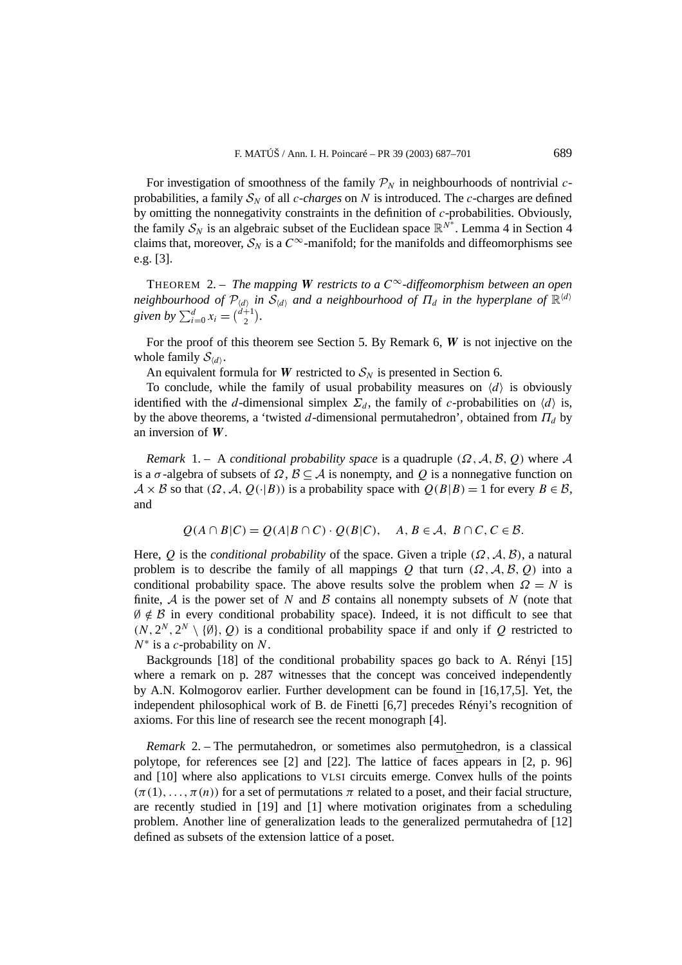For investigation of smoothness of the family  $P_N$  in neighbourhoods of nontrivial *c*probabilities, a family  $S_N$  of all *c*-*charges* on *N* is introduced. The *c*-charges are defined by omitting the nonnegativity constraints in the definition of *c*-probabilities. Obviously, the family  $S_N$  is an algebraic subset of the Euclidean space  $\mathbb{R}^{N^*}$ . Lemma 4 in Section 4 claims that, moreover,  $S_N$  is a  $C^\infty$ -manifold; for the manifolds and diffeomorphisms see e.g. [3].

THEOREM 2. – *The mapping W restricts to a*  $C^{\infty}$ -diffeomorphism between an open *neighbourhood of*  $\mathcal{P}_{\langle d \rangle}$  *in*  $\mathcal{S}_{\langle d \rangle}$  *and a neighbourhood of*  $\Pi_d$  *in the hyperplane of*  $\mathbb{R}^{\langle d \rangle}$ *given by*  $\sum_{i=0}^{d} x_i = \binom{d+1}{2}$ .

For the proof of this theorem see Section 5. By Remark 6, *W* is not injective on the whole family  $S_{\langle d \rangle}$ .

An equivalent formula for *W* restricted to  $S_N$  is presented in Section 6.

To conclude, while the family of usual probability measures on  $\langle d \rangle$  is obviously identified with the *d*-dimensional simplex  $\Sigma_d$ , the family of *c*-probabilities on  $\langle d \rangle$  is, by the above theorems, a 'twisted *d*-dimensional permutahedron', obtained from  $\Pi_d$  by an inversion of *W*.

*Remark* 1. – A *conditional probability space* is a quadruple  $(\Omega, \mathcal{A}, \mathcal{B}, \mathcal{Q})$  where A is a  $\sigma$ -algebra of subsets of  $\Omega$ ,  $\mathcal{B} \subseteq \mathcal{A}$  is nonempty, and  $\mathcal{Q}$  is a nonnegative function on  $A \times B$  so that  $(\Omega, \mathcal{A}, Q(\cdot | B))$  is a probability space with  $Q(B|B) = 1$  for every  $B \in \mathcal{B}$ , and

$$
Q(A \cap B|C) = Q(A|B \cap C) \cdot Q(B|C), \quad A, B \in \mathcal{A}, B \cap C, C \in \mathcal{B}.
$$

Here, *Q* is the *conditional probability* of the space. Given a triple  $(\Omega, \mathcal{A}, \mathcal{B})$ , a natural problem is to describe the family of all mappings *Q* that turn  $(\Omega, \mathcal{A}, \mathcal{B}, \mathcal{Q})$  into a conditional probability space. The above results solve the problem when  $\Omega = N$  is finite,  $A$  is the power set of  $N$  and  $B$  contains all nonempty subsets of  $N$  (note that  $\emptyset \notin \mathcal{B}$  in every conditional probability space). Indeed, it is not difficult to see that  $(N, 2^N, 2^N \setminus \{\emptyset\}, Q)$  is a conditional probability space if and only if *Q* restricted to *N*<sup>∗</sup> is a *c*-probability on *N*.

Backgrounds [18] of the conditional probability spaces go back to A. Rényi [15] where a remark on p. 287 witnesses that the concept was conceived independently by A.N. Kolmogorov earlier. Further development can be found in [16,17,5]. Yet, the independent philosophical work of B. de Finetti [6,7] precedes Rényi's recognition of axioms. For this line of research see the recent monograph [4].

*Remark* 2. – The permutahedron, or sometimes also permutohedron, is a classical polytope, for references see [2] and [22]. The lattice of faces appears in [2, p. 96] and [10] where also applications to VLSI circuits emerge. Convex hulls of the points  $(\pi(1), \ldots, \pi(n))$  for a set of permutations  $\pi$  related to a poset, and their facial structure, are recently studied in [19] and [1] where motivation originates from a scheduling problem. Another line of generalization leads to the generalized permutahedra of [12] defined as subsets of the extension lattice of a poset.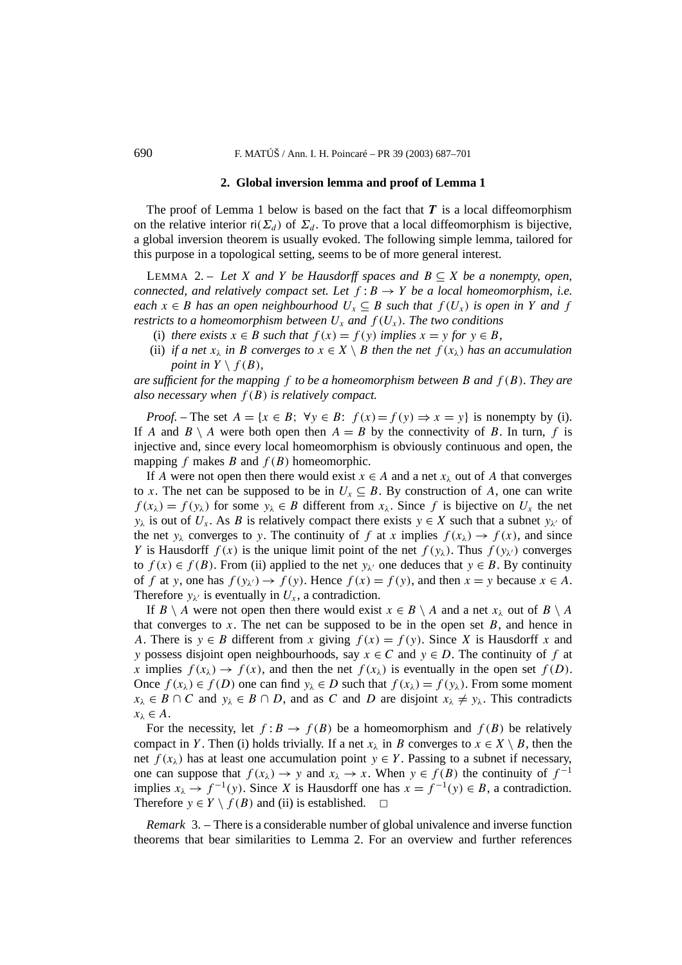#### **2. Global inversion lemma and proof of Lemma 1**

The proof of Lemma 1 below is based on the fact that *T* is a local diffeomorphism on the relative interior ri $(\Sigma_d)$  of  $\Sigma_d$ . To prove that a local diffeomorphism is bijective, a global inversion theorem is usually evoked. The following simple lemma, tailored for this purpose in a topological setting, seems to be of more general interest.

LEMMA 2. – Let *X* and *Y* be Hausdorff spaces and  $B \subseteq X$  be a nonempty, open, *connected, and relatively compact set. Let*  $f : B \rightarrow Y$  *be a local homeomorphism, i.e. each*  $x \in B$  *has an open neighbourhood*  $U_x \subseteq B$  *such that*  $f(U_x)$  *is open in Y and f restricts to a homeomorphism between*  $U_x$  *and*  $f(U_x)$ *. The two conditions* 

- (i) *there exists*  $x \in B$  *such that*  $f(x) = f(y)$  *implies*  $x = y$  *for*  $y \in B$ *,*
- (ii) *if a net*  $x_{\lambda}$  *in B converges to*  $x \in X \setminus B$  *then the net*  $f(x_{\lambda})$  *has an accumulation point in*  $Y \setminus f(B)$ *,*

*are sufficient for the mapping f to be a homeomorphism between B and f (B). They are also necessary when f (B) is relatively compact.*

*Proof.* – The set  $A = \{x \in B: \forall y \in B: f(x) = f(y) \Rightarrow x = y\}$  is nonempty by (i). If *A* and *B*  $\setminus$  *A* were both open then *A* = *B* by the connectivity of *B*. In turn, *f* is injective and, since every local homeomorphism is obviously continuous and open, the mapping  $f$  makes  $B$  and  $f(B)$  homeomorphic.

If *A* were not open then there would exist  $x \in A$  and a net  $x_{\lambda}$  out of *A* that converges to *x*. The net can be supposed to be in  $U_x \subseteq B$ . By construction of *A*, one can write  $f(x_\lambda) = f(y_\lambda)$  for some  $y_\lambda \in B$  different from  $x_\lambda$ . Since f is bijective on  $U_x$  the net *y<sub>λ</sub>* is out of *U<sub>x</sub>*. As *B* is relatively compact there exists  $y \in X$  such that a subnet  $y_{\lambda}$  of the net  $y_\lambda$  converges to *y*. The continuity of *f* at *x* implies  $f(x_\lambda) \to f(x)$ , and since *Y* is Hausdorff  $f(x)$  is the unique limit point of the net  $f(y_\lambda)$ . Thus  $f(y_\lambda)$  converges to  $f(x) \in f(B)$ . From (ii) applied to the net  $y_{\lambda'}$  one deduces that  $y \in B$ . By continuity of *f* at *y*, one has  $f(y_\lambda) \to f(y)$ . Hence  $f(x) = f(y)$ , and then  $x = y$  because  $x \in A$ . Therefore  $y_{\lambda'}$  is eventually in  $U_x$ , a contradiction.

If *B* \ *A* were not open then there would exist  $x \in B \setminus A$  and a net  $x_{\lambda}$  out of  $B \setminus A$ that converges to  $x$ . The net can be supposed to be in the open set  $B$ , and hence in *A*. There is  $y \in B$  different from *x* giving  $f(x) = f(y)$ . Since *X* is Hausdorff *x* and *y* possess disjoint open neighbourhoods, say *x* ∈ *C* and *y* ∈ *D*. The continuity of *f* at *x* implies  $f(x_\lambda) \to f(x)$ , and then the net  $f(x_\lambda)$  is eventually in the open set  $f(D)$ . Once  $f(x_\lambda) \in f(D)$  one can find  $y_\lambda \in D$  such that  $f(x_\lambda) = f(y_\lambda)$ . From some moment  $x_{\lambda} \in B \cap C$  and  $y_{\lambda} \in B \cap D$ , and as *C* and *D* are disjoint  $x_{\lambda} \neq y_{\lambda}$ . This contradicts  $x_{\lambda} \in A$ .

For the necessity, let  $f : B \to f(B)$  be a homeomorphism and  $f(B)$  be relatively compact in *Y*. Then (i) holds trivially. If a net  $x_{\lambda}$  in *B* converges to  $x \in X \setminus B$ , then the net  $f(x_\lambda)$  has at least one accumulation point  $y \in Y$ . Passing to a subnet if necessary, one can suppose that  $f(x_\lambda) \to y$  and  $x_\lambda \to x$ . When  $y \in f(B)$  the continuity of  $f^{-1}$ implies  $x_{\lambda} \to f^{-1}(y)$ . Since *X* is Hausdorff one has  $x = f^{-1}(y) \in B$ , a contradiction. Therefore  $y \in Y \setminus f(B)$  and (ii) is established.  $\Box$ 

*Remark* 3. – There is a considerable number of global univalence and inverse function theorems that bear similarities to Lemma 2. For an overview and further references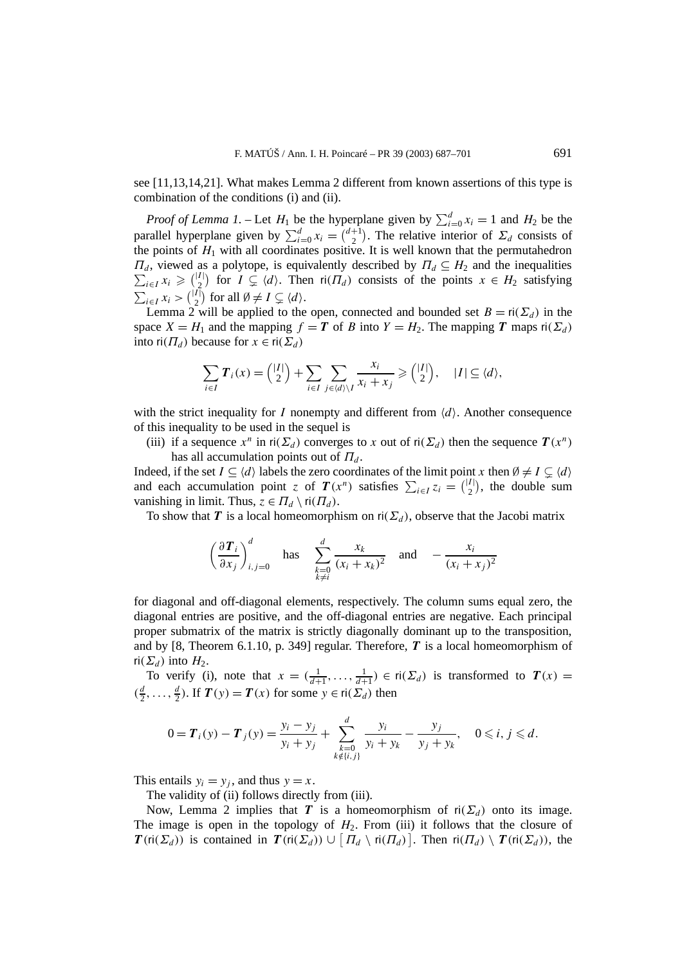see [11,13,14,21]. What makes Lemma 2 different from known assertions of this type is combination of the conditions (i) and (ii).

*Proof of Lemma 1.* – Let  $H_1$  be the hyperplane given by  $\sum_{i=0}^{d} x_i = 1$  and  $H_2$  be the parallel hyperplane given by  $\sum_{i=0}^{d} x_i = \binom{d+1}{2}$ . The relative interior of  $\Sigma_d$  consists of the points of  $H_1$  with all coordinates positive. It is well known that the permutahedron *Π*<sup>*d*</sup>, viewed as a polytope, is equivalently described by  $\Pi_d \subseteq H_2$  and the inequalities  $\sum_{i\in I} x_i \geq {I \choose 2}$  for  $I \subsetneq \langle d \rangle$ . Then ri $(\Pi_d)$  consists of the points  $x \in H_2$  satisfying  $\sum_{i \in I} x_i > \binom{|I|}{2}$  for all  $\emptyset \neq I \subsetneq \langle d \rangle$ .

Lemma 2 will be applied to the open, connected and bounded set  $B = ri(\Sigma_d)$  in the space  $X = H_1$  and the mapping  $f = T$  of *B* into  $Y = H_2$ . The mapping *T* maps ri $(\Sigma_d)$ into  $\operatorname{ri}(T_d)$  because for  $x \in \operatorname{ri}(\Sigma_d)$ 

$$
\sum_{i\in I} T_i(x) = \binom{|I|}{2} + \sum_{i\in I} \sum_{j\in \langle d\rangle\setminus I} \frac{x_i}{x_i + x_j} \geq \binom{|I|}{2}, \quad |I| \subseteq \langle d\rangle,
$$

with the strict inequality for  $I$  nonempty and different from  $\langle d \rangle$ . Another consequence of this inequality to be used in the sequel is

(iii) if a sequence  $x^n$  in  $\text{ri}(\Sigma_d)$  converges to x out of  $\text{ri}(\Sigma_d)$  then the sequence  $T(x^n)$ has all accumulation points out of  $\Pi_d$ .

Indeed, if the set  $I \subseteq \langle d \rangle$  labels the zero coordinates of the limit point *x* then  $\emptyset \neq I \subsetneq \langle d \rangle$ and each accumulation point *z* of  $T(x^n)$  satisfies  $\sum_{i \in I} z_i = \binom{|I|}{2}$ , the double sum vanishing in limit. Thus,  $z \in \Pi_d \setminus \text{ri}(\Pi_d)$ .

To show that *T* is a local homeomorphism on  $\text{ri}(\Sigma_d)$ , observe that the Jacobi matrix

$$
\left(\frac{\partial \boldsymbol{T}_i}{\partial x_j}\right)_{i,j=0}^d \text{ has } \sum_{\substack{k=0 \ k \neq i}}^d \frac{x_k}{(x_i + x_k)^2} \text{ and } -\frac{x_i}{(x_i + x_j)^2}
$$

for diagonal and off-diagonal elements, respectively. The column sums equal zero, the diagonal entries are positive, and the off-diagonal entries are negative. Each principal proper submatrix of the matrix is strictly diagonally dominant up to the transposition, and by [8, Theorem 6.1.10, p. 349] regular. Therefore, *T* is a local homeomorphism of  $ri(\Sigma_d)$  into  $H_2$ .

To verify (i), note that  $x = (\frac{1}{d+1}, \ldots, \frac{1}{d+1}) \in \text{ri}(\Sigma_d)$  is transformed to  $T(x) =$  $(\frac{d}{2}, \ldots, \frac{d}{2})$ . If  $T(y) = T(x)$  for some  $y \in \text{ri}(\Sigma_d)$  then

$$
0 = \boldsymbol{T}_i(y) - \boldsymbol{T}_j(y) = \frac{y_i - y_j}{y_i + y_j} + \sum_{\substack{k=0 \\ k \notin \{i,j\}}}^d \frac{y_i}{y_i + y_k} - \frac{y_j}{y_j + y_k}, \quad 0 \leqslant i, j \leqslant d.
$$

This entails  $y_i = y_j$ , and thus  $y = x$ .

The validity of (ii) follows directly from (iii).

Now, Lemma 2 implies that *T* is a homeomorphism of  $\text{ri}(\Sigma_d)$  onto its image. The image is open in the topology of  $H_2$ . From (iii) it follows that the closure of *T*( $\text{ri}(\Sigma_d)$ ) is contained in *T*( $\text{ri}(\Sigma_d)$ )  $\cup$   $\left[\Pi_d \setminus \text{ri}(\Pi_d)\right]$ . Then  $\text{ri}(\Pi_d) \setminus T(\text{ri}(\Sigma_d))$ , the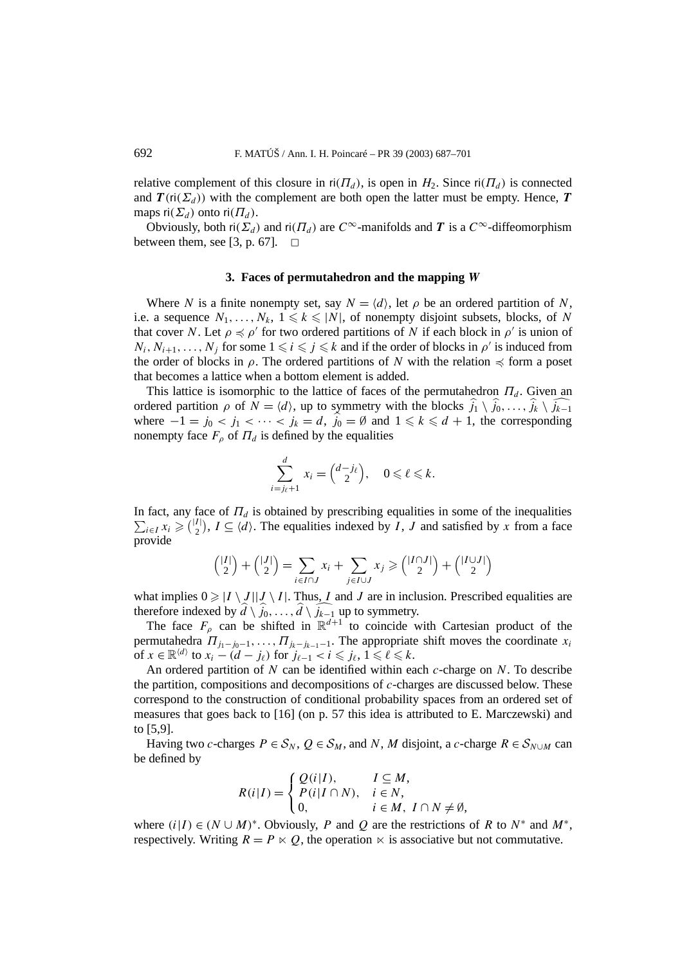relative complement of this closure in  $ri(\Pi_d)$ , is open in  $H_2$ . Since  $ri(\Pi_d)$  is connected and  $T(\text{ri}(\Sigma_d))$  with the complement are both open the latter must be empty. Hence, *T* maps  $\text{ri}(\Sigma_d)$  onto  $\text{ri}(\Pi_d)$ .

Obviously, both ri $(\Sigma_d)$  and ri $(\Pi_d)$  are  $C^{\infty}$ -manifolds and *T* is a  $C^{\infty}$ -diffeomorphism between them, see [3, p. 67].  $\Box$ 

### **3. Faces of permutahedron and the mapping** *W*

Where *N* is a finite nonempty set, say  $N = \langle d \rangle$ , let  $\rho$  be an ordered partition of *N*, i.e. a sequence  $N_1, \ldots, N_k$ ,  $1 \leq k \leq |N|$ , of nonempty disjoint subsets, blocks, of *N* that cover *N*. Let  $\rho \leq \rho'$  for two ordered partitions of *N* if each block in  $\rho'$  is union of  $N_i, N_{i+1}, \ldots, N_j$  for some  $1 \leq i \leq j \leq k$  and if the order of blocks in  $\rho'$  is induced from the order of blocks in  $\rho$ . The ordered partitions of *N* with the relation  $\preccurlyeq$  form a poset that becomes a lattice when a bottom element is added.

This lattice is isomorphic to the lattice of faces of the permutahedron  $\Pi_d$ . Given an ordered partition  $\rho$  of  $N = \langle d \rangle$ , up to symmetry with the blocks  $\hat{j}_1 \setminus \hat{j}_0, \ldots, \hat{j}_k \setminus \hat{j}_{k-1}$ where  $-1 = j_0 < j_1 < \cdots < j_k = d$ ,  $j_0 = \emptyset$  and  $1 \leq k \leq d + 1$ , the corresponding nonempty face  $F_{\rho}$  of  $\Pi_d$  is defined by the equalities

$$
\sum_{i=j_{\ell}+1}^d x_i = \binom{d-j_{\ell}}{2}, \quad 0 \leqslant \ell \leqslant k.
$$

In fact, any face of  $\Pi_d$  is obtained by prescribing equalities in some of the inequalities  $\sum_{i\in I} x_i \geq {I \choose 2}$ ,  $I \subseteq \langle d \rangle$ . The equalities indexed by *I*, *J* and satisfied by *x* from a face provide

$$
\binom{|I|}{2} + \binom{|J|}{2} = \sum_{i \in I \cap J} x_i + \sum_{j \in I \cup J} x_j \ge \binom{|I \cap J|}{2} + \binom{|I \cup J|}{2}
$$

what implies  $0 \ge |I \setminus J||J \setminus I|$ . Thus, *I* and *J* are in inclusion. Prescribed equalities are therefore indexed by  $\hat{d} \setminus \hat{j}_0, \ldots, \hat{d} \setminus \hat{j}_{k-1}$  up to symmetry.

The face  $F_p$  can be shifted in  $\mathbb{R}^{d+1}$  to coincide with Cartesian product of the permutahedra  $\Pi_{j_1-j_0-1}, \ldots, \Pi_{j_k-j_{k-1}-1}$ . The appropriate shift moves the coordinate  $x_i$ of  $x \in \mathbb{R}^{\langle d \rangle}$  to  $x_i - (d - j_\ell)$  for  $j_{\ell-1} < i \leq j_\ell, 1 \leq \ell \leq k$ .

An ordered partition of *N* can be identified within each *c*-charge on *N*. To describe the partition, compositions and decompositions of *c*-charges are discussed below. These correspond to the construction of conditional probability spaces from an ordered set of measures that goes back to [16] (on p. 57 this idea is attributed to E. Marczewski) and to [5,9].

Having two *c*-charges  $P \in S_N$ ,  $Q \in S_M$ , and *N*, *M* disjoint, a *c*-charge  $R \in S_{N \cup M}$  can be defined by

$$
R(i|I) = \begin{cases} Q(i|I), & I \subseteq M, \\ P(i|I \cap N), & i \in N, \\ 0, & i \in M, \ I \cap N \neq \emptyset, \end{cases}
$$

where  $(i|I) \in (N \cup M)^*$ . Obviously, *P* and *Q* are the restrictions of *R* to  $N^*$  and  $M^*$ , respectively. Writing  $R = P \times Q$ , the operation  $\ltimes$  is associative but not commutative.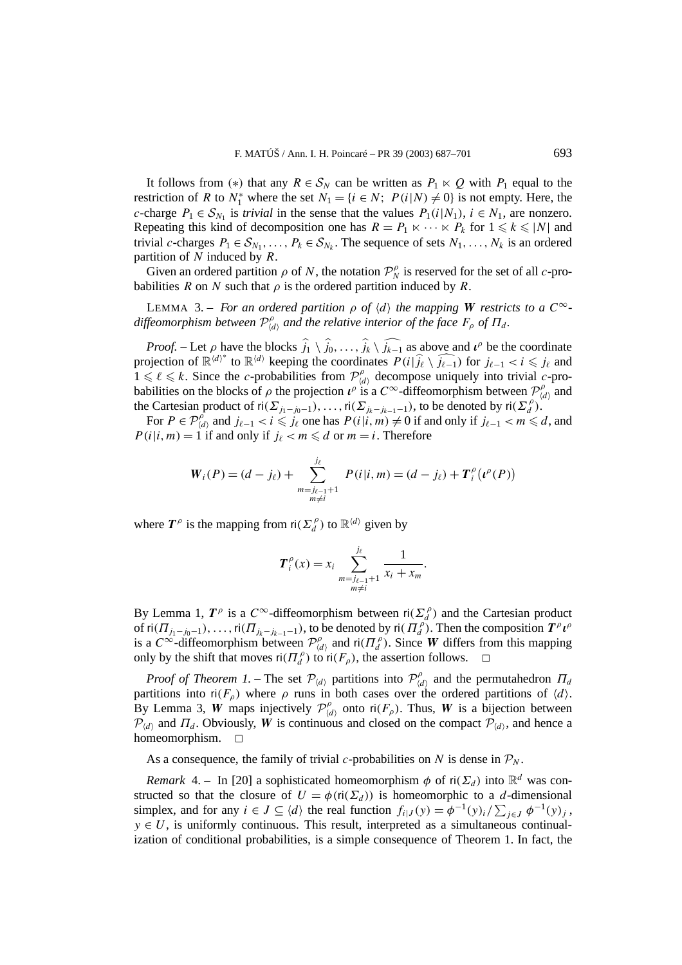It follows from (\*) that any  $R \in S_N$  can be written as  $P_1 \times Q$  with  $P_1$  equal to the restriction of *R* to  $N_1^*$  where the set  $N_1 = \{i \in N; P(i|N) \neq 0\}$  is not empty. Here, the *c*-charge  $P_1 \in S_{N_1}$  is *trivial* in the sense that the values  $P_1(i|N_1)$ ,  $i \in N_1$ , are nonzero. Repeating this kind of decomposition one has  $R = P_1 \times \cdots \times P_k$  for  $1 \le k \le |N|$  and trivial *c*-charges  $P_1 \in S_{N_1}, \ldots, P_k \in S_{N_k}$ . The sequence of sets  $N_1, \ldots, N_k$  is an ordered partition of *N* induced by *R*.

Given an ordered partition  $\rho$  of *N*, the notation  $\mathcal{P}_N^{\rho}$  is reserved for the set of all *c*-probabilities *R* on *N* such that  $\rho$  is the ordered partition induced by *R*.

**LEMMA** 3. – *For an ordered partition*  $\rho$  *of*  $\langle d \rangle$  *the mapping W restricts to a*  $C^{\infty}$  $d$ *iffeomorphism between*  $\mathcal{P}^{\rho}_{\langle d \rangle}$  and the relative interior of the face  $F_{\rho}$  of  $\Pi_d$ .

*Proof.* – Let *ρ* have the blocks  $\hat{j}_1 \setminus \hat{j}_0, \ldots, \hat{j}_k \setminus \hat{j}_{k-1}$  as above and  $\iota^{\rho}$  be the coordinate projection of  $\mathbb{R}^{\langle d \rangle^*}$  to  $\mathbb{R}^{\langle d \rangle}$  keeping the coordinates  $P(i|\hat{j}_\ell \setminus \hat{j}_{\ell-1})$  for  $j_{\ell-1} < i \leq j_\ell$  and  $1 \leq \ell \leq k$ . Since the *c*-probabilities from  $\mathcal{P}^{\rho}_{\langle d \rangle}$  decompose uniquely into trivial *c*-probabilities on the blocks of  $\rho$  the projection  $\iota^{\rho}$  is a  $C^{\infty}$ -diffeomorphism between  $\mathcal{P}^{\rho}_{\langle d \rangle}$  and the Cartesian product of  $\text{ri}(\Sigma_{j_1-j_0-1}), \ldots, \text{ri}(\Sigma_{j_k-j_{k-1}-1}),$  to be denoted by  $\text{ri}(\Sigma_a^{\rho})$ .

For  $P \in \mathcal{P}_{\langle d \rangle}^{\rho}$  and  $j_{\ell-1} < i \leq j_{\ell}$  one has  $P(i|i, m) \neq 0$  if and only if  $j_{\ell-1} < m \leq d$ , and  $P(i|i, m) = 1$  if and only if  $j_{\ell} < m \le d$  or  $m = i$ . Therefore

$$
W_i(P) = (d - j_\ell) + \sum_{\substack{m = j_{\ell-1} + 1 \\ m \neq i}}^{j_\ell} P(i|i, m) = (d - j_\ell) + T_i^{\rho}(\iota^{\rho}(P))
$$

where  $T^{\rho}$  is the mapping from  $\text{ri}(\Sigma_d^{\rho})$  to  $\mathbb{R}^{\langle d \rangle}$  given by

$$
T_i^{\rho}(x) = x_i \sum_{\substack{m = j_{\ell-1}+1 \\ m \neq i}}^{j_{\ell}} \frac{1}{x_i + x_m}.
$$

By Lemma 1,  $T^{\rho}$  is a  $C^{\infty}$ -diffeomorphism between  $\text{ri}(\Sigma_d^{\rho})$  and the Cartesian product of  $\text{ri}(T_{j_1-j_0-1}), \ldots, \text{ri}(T_{j_k-j_{k-1}-1}),$  to be denoted by  $\text{ri}(T_d^{\rho}).$  Then the composition  $T^{\rho} \iota^{\rho}$ is a  $C^{\infty}$ -diffeomorphism between  $\mathcal{P}^{\rho}_{\langle d \rangle}$  and  $\mathsf{ri}(H_{d}^{\rho})$ . Since *W* differs from this mapping only by the shift that moves  $\operatorname{ri}(T_d^{\rho})$  to  $\operatorname{ri}(F_{\rho})$ , the assertion follows.  $\Box$ 

*Proof of Theorem 1.* – The set  $\mathcal{P}_{\langle d \rangle}$  partitions into  $\mathcal{P}_{\langle d \rangle}^{\rho}$  and the permutahedron  $\Pi_d$ partitions into  $\mathsf{ri}(F_\rho)$  where  $\rho$  runs in both cases over the ordered partitions of  $\langle d \rangle$ . By Lemma 3, *W* maps injectively  $\mathcal{P}^{\rho}_{\langle d \rangle}$  onto ri $(F_{\rho})$ . Thus, *W* is a bijection between  $\mathcal{P}_{\langle d \rangle}$  and  $\Pi_d$ . Obviously, *W* is continuous and closed on the compact  $\mathcal{P}_{\langle d \rangle}$ , and hence a homeomorphism.  $\square$ 

As a consequence, the family of trivial *c*-probabilities on *N* is dense in  $P<sub>N</sub>$ .

*Remark* 4. – In [20] a sophisticated homeomorphism  $\phi$  of ri $(\Sigma_d)$  into  $\mathbb{R}^d$  was constructed so that the closure of  $U = \phi(\text{ri}(\Sigma_d))$  is homeomorphic to a *d*-dimensional simplex, and for any  $i \in J \subseteq \langle d \rangle$  the real function  $f_{i|J}(y) = \phi^{-1}(y)_{i}/\sum_{j \in J} \phi^{-1}(y)_{j}$ ,  $y \in U$ , is uniformly continuous. This result, interpreted as a simultaneous continualization of conditional probabilities, is a simple consequence of Theorem 1. In fact, the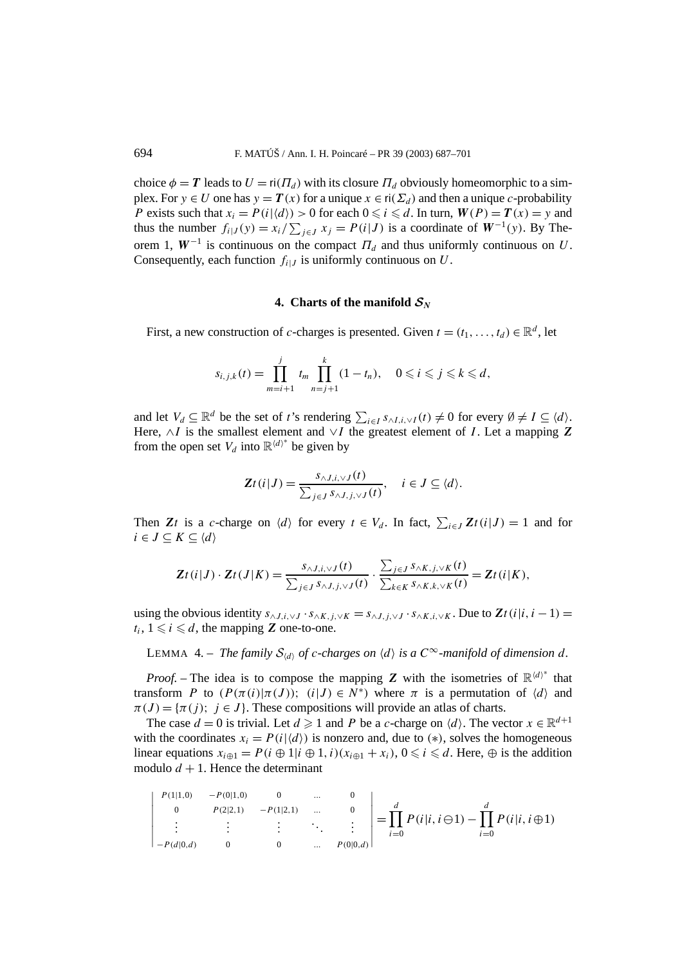choice  $\phi = T$  leads to  $U = \text{ri}(T_d)$  with its closure  $T_d$  obviously homeomorphic to a simplex. For  $y \in U$  one has  $y = T(x)$  for a unique  $x \in \text{ri}(\Sigma_d)$  and then a unique *c*-probability *P* exists such that  $x_i = P(i|\langle d \rangle) > 0$  for each  $0 \le i \le d$ . In turn,  $W(P) = T(x) = y$  and thus the number  $f_{i|J}(y) = x_i / \sum_{j \in J} x_j = P(i|J)$  is a coordinate of  $W^{-1}(y)$ . By Theorem 1,  $W^{-1}$  is continuous on the compact  $\Pi_d$  and thus uniformly continuous on *U*. Consequently, each function  $f_{i|J}$  is uniformly continuous on  $U$ .

# **4.** Charts of the manifold  $S_N$

First, a new construction of *c*-charges is presented. Given  $t = (t_1, \ldots, t_d) \in \mathbb{R}^d$ , let

$$
s_{i,j,k}(t) = \prod_{m=i+1}^{j} t_m \prod_{n=j+1}^{k} (1 - t_n), \quad 0 \leqslant i \leqslant j \leqslant k \leqslant d,
$$

and let  $V_d \subseteq \mathbb{R}^d$  be the set of *t*'s rendering  $\sum_{i \in I} s_{\land I,i,\lor I}(t) \neq 0$  for every  $\emptyset \neq I \subseteq \langle d \rangle$ . Here, ∧*I* is the smallest element and ∨*I* the greatest element of *I* . Let a mapping *Z* from the open set  $V_d$  into  $\mathbb{R}^{\langle d \rangle^*}$  be given by

$$
\mathbf{Z}t(i|J) = \frac{s_{\wedge J,i,\vee J}(t)}{\sum_{j\in J} s_{\wedge J,j,\vee J}(t)}, \quad i \in J \subseteq \langle d \rangle.
$$

Then *Zt* is a *c*-charge on  $\langle d \rangle$  for every  $t \in V_d$ . In fact,  $\sum_{i \in J} Zt(i|J) = 1$  and for  $i \in J \subseteq K \subseteq \langle d \rangle$ 

$$
\mathbf{Z}t(i|J)\cdot\mathbf{Z}t(J|K)=\frac{s_{\wedge J,i,\vee J}(t)}{\sum_{j\in J} s_{\wedge J,j,\vee J}(t)}\cdot\frac{\sum_{j\in J} s_{\wedge K,j,\vee K}(t)}{\sum_{k\in K} s_{\wedge K,k,\vee K}(t)}=\mathbf{Z}t(i|K),
$$

using the obvious identity  $s_{\land J,i,\lor J} \cdot s_{\land K,i,\lor K} = s_{\land J,i,\lor J} \cdot s_{\land K,i,\lor K}$ . Due to  $Zt(i|i, i-1) =$  $t_i$ ,  $1 \leq i \leq d$ , the mapping **Z** one-to-one.

LEMMA 4. – *The family*  $S_{\langle d \rangle}$  *of c-charges on*  $\langle d \rangle$  *is a*  $C^{\infty}$ *-manifold of dimension d.* 

*Proof.* – The idea is to compose the mapping *Z* with the isometries of  $\mathbb{R}^{\langle d \rangle^*}$  that transform *P* to  $(P(\pi(i)|\pi(J));$   $(i|J) \in N^*)$  where  $\pi$  is a permutation of  $\langle d \rangle$  and  $\pi(J) = {\pi(j)}$ ;  $j \in J$ . These compositions will provide an atlas of charts.

The case  $d = 0$  is trivial. Let  $d \ge 1$  and P be a c-charge on  $\langle d \rangle$ . The vector  $x \in \mathbb{R}^{d+1}$ with the coordinates  $x_i = P(i|\langle d \rangle)$  is nonzero and, due to (\*), solves the homogeneous linear equations  $x_{i\oplus 1} = P(i \oplus 1 | i \oplus 1, i)(x_{i\oplus 1} + x_i)$ ,  $0 \le i \le d$ . Here,  $\oplus$  is the addition modulo  $d + 1$ . Hence the determinant

$$
\begin{vmatrix} P(1|1,0) & -P(0|1,0) & 0 & \dots & 0 \\ 0 & P(2|2,1) & -P(1|2,1) & \dots & 0 \\ \vdots & \vdots & \vdots & \ddots & \vdots \\ -P(d|0,d) & 0 & 0 & \dots & P(0|0,d) \end{vmatrix} = \prod_{i=0}^{d} P(i|i, i \ominus 1) - \prod_{i=0}^{d} P(i|i, i \oplus 1)
$$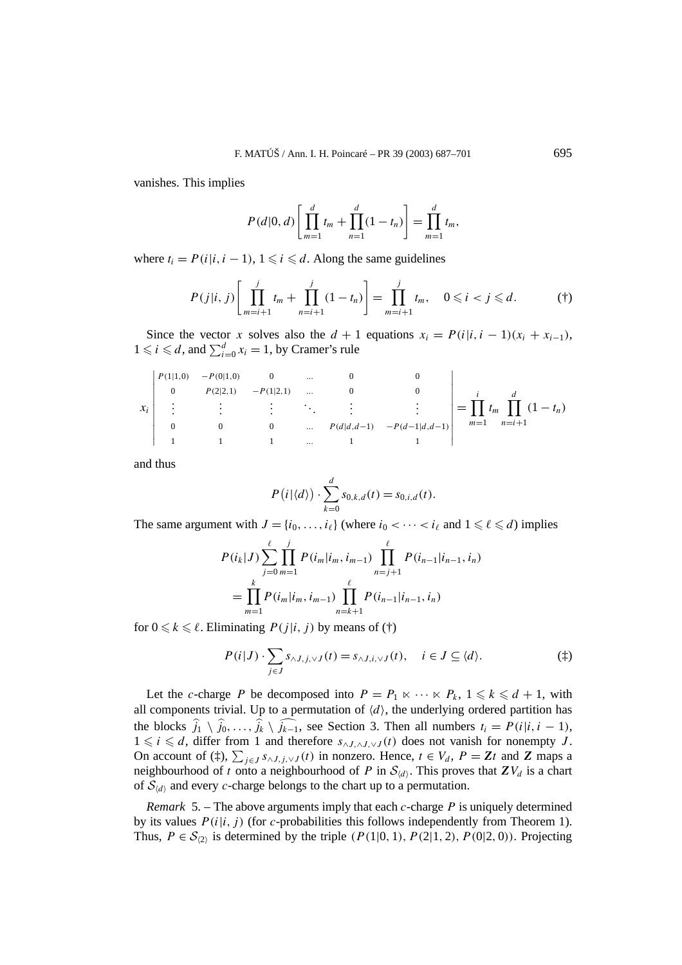vanishes. This implies

$$
P(d|0, d) \left[ \prod_{m=1}^{d} t_m + \prod_{n=1}^{d} (1 - t_n) \right] = \prod_{m=1}^{d} t_m,
$$

where  $t_i = P(i|i, i-1), 1 \leq i \leq d$ . Along the same guidelines

$$
P(j|i, j) \left[ \prod_{m=i+1}^{j} t_m + \prod_{n=i+1}^{j} (1 - t_n) \right] = \prod_{m=i+1}^{j} t_m, \quad 0 \leq i < j \leq d. \tag{†}
$$

Since the vector *x* solves also the  $d + 1$  equations  $x_i = P(i|i, i - 1)(x_i + x_{i-1})$ ,  $1 \leq i \leq d$ , and  $\sum_{i=0}^{d} x_i = 1$ , by Cramer's rule

$$
x_{i} \begin{vmatrix} P(1|1,0) & -P(0|1,0) & 0 & \dots & 0 & 0 \\ 0 & P(2|2,1) & -P(1|2,1) & \dots & 0 & 0 \\ \vdots & \vdots & \vdots & \ddots & \vdots & \vdots \\ 0 & 0 & 0 & \dots & P(d|d,d-1) & -P(d-1|d,d-1) \\ 1 & 1 & 1 & \dots & 1 & 1 \end{vmatrix} = \prod_{m=1}^{i} t_m \prod_{n=i+1}^{d} (1-t_n)
$$

and thus

$$
P(i|\langle d \rangle) \cdot \sum_{k=0}^d s_{0,k,d}(t) = s_{0,i,d}(t).
$$

The same argument with  $J = \{i_0, \ldots, i_\ell\}$  (where  $i_0 < \cdots < i_\ell$  and  $1 \leq \ell \leq d$ ) implies

$$
P(i_k|J) \sum_{j=0}^{\ell} \prod_{m=1}^{j} P(i_m|i_m, i_{m-1}) \prod_{n=j+1}^{\ell} P(i_{n-1}|i_{n-1}, i_n)
$$
  
= 
$$
\prod_{m=1}^{k} P(i_m|i_m, i_{m-1}) \prod_{n=k+1}^{\ell} P(i_{n-1}|i_{n-1}, i_n)
$$

for  $0 \le k \le \ell$ . Eliminating  $P(j|i, j)$  by means of (†)

$$
P(i|J) \cdot \sum_{j \in J} s_{\wedge J, j, \vee J}(t) = s_{\wedge J, i, \vee J}(t), \quad i \in J \subseteq \langle d \rangle.
$$
 (†)

Let the *c*-charge *P* be decomposed into  $P = P_1 \ltimes \cdots \ltimes P_k$ ,  $1 \le k \le d + 1$ , with all components trivial. Up to a permutation of  $\langle d \rangle$ , the underlying ordered partition has the blocks  $j_1 \setminus j_0, \ldots, j_k \setminus j_{k-1}$ , see Section 3. Then all numbers  $t_i = P(i|i, i-1)$ , 1 ≤ *i* ≤ *d*, differ from 1 and therefore  $s_{\land J, \land J, \lor J}(t)$  does not vanish for nonempty *J*. On account of  $(\frac{4}{4})$ ,  $\sum_{j\in J} s_{\wedge J, j,\vee J}(t)$  in nonzero. Hence,  $t \in V_d$ ,  $P = \mathbb{Z}t$  and  $\mathbb Z$  maps a neighbourhood of *t* onto a neighbourhood of *P* in  $S_{(d)}$ . This proves that  $ZV_d$  is a chart of  $S_{\langle d \rangle}$  and every *c*-charge belongs to the chart up to a permutation.

*Remark* 5. – The above arguments imply that each *c*-charge *P* is uniquely determined by its values  $P(i|i, j)$  (for *c*-probabilities this follows independently from Theorem 1). Thus,  $P \in S_{(2)}$  is determined by the triple  $(P(1|0, 1), P(2|1, 2), P(0|2, 0))$ . Projecting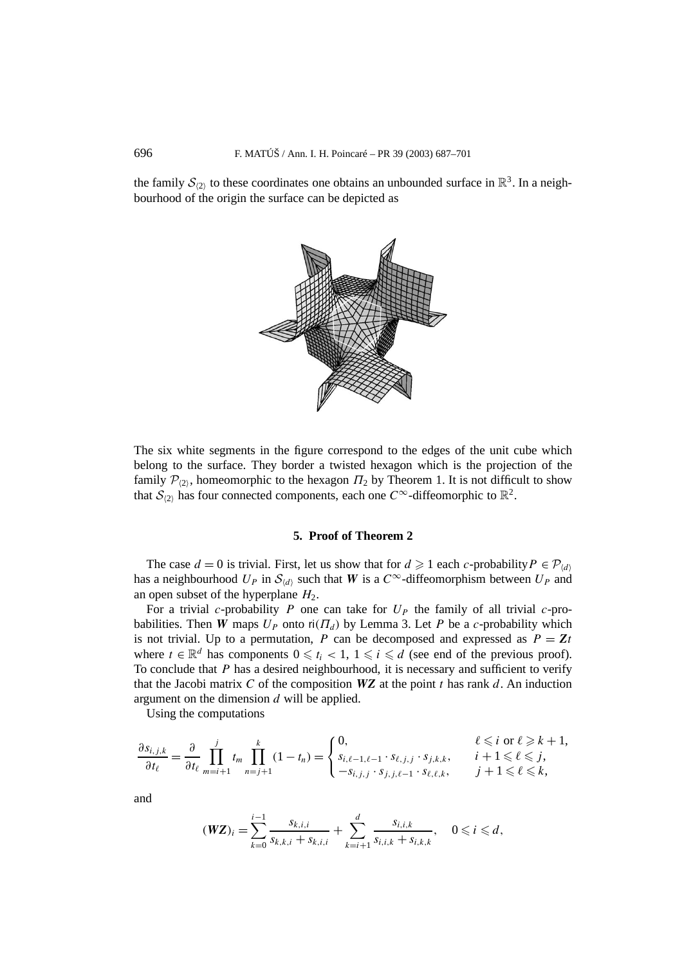the family  $\mathcal{S}_{(2)}$  to these coordinates one obtains an unbounded surface in  $\mathbb{R}^3$ . In a neighbourhood of the origin the surface can be depicted as



The six white segments in the figure correspond to the edges of the unit cube which belong to the surface. They border a twisted hexagon which is the projection of the family  $\mathcal{P}_{(2)}$ , homeomorphic to the hexagon  $\Pi_2$  by Theorem 1. It is not difficult to show that  $\mathcal{S}_{(2)}$  has four connected components, each one  $C^{\infty}$ -diffeomorphic to  $\mathbb{R}^2$ .

## **5. Proof of Theorem 2**

The case  $d = 0$  is trivial. First, let us show that for  $d \ge 1$  each *c*-probability  $P \in \mathcal{P}_{\langle d \rangle}$ has a neighbourhood  $U_P$  in  $S_{\langle d \rangle}$  such that *W* is a  $C^{\infty}$ -diffeomorphism between  $U_P$  and an open subset of the hyperplane  $H_2$ .

For a trivial *c*-probability *P* one can take for  $U_P$  the family of all trivial *c*-probabilities. Then *W* maps  $U_P$  onto ri( $\Pi_d$ ) by Lemma 3. Let *P* be a *c*-probability which is not trivial. Up to a permutation, *P* can be decomposed and expressed as  $P = Zt$ where  $t \in \mathbb{R}^d$  has components  $0 \leq t_i < 1$ ,  $1 \leq i \leq d$  (see end of the previous proof). To conclude that *P* has a desired neighbourhood, it is necessary and sufficient to verify that the Jacobi matrix C of the composition  $WZ$  at the point t has rank d. An induction argument on the dimension *d* will be applied.

Using the computations

$$
\frac{\partial s_{i,j,k}}{\partial t_{\ell}} = \frac{\partial}{\partial t_{\ell}} \prod_{m=i+1}^{j} t_m \prod_{n=j+1}^{k} (1-t_n) = \begin{cases} 0, & \ell \leq i \text{ or } \ell \geq k+1, \\ s_{i,\ell-1,\ell-1} \cdot s_{\ell,j,j} \cdot s_{j,k,k}, & i+1 \leq \ell \leq j, \\ -s_{i,j,j} \cdot s_{j,j,\ell-1} \cdot s_{\ell,\ell,k}, & j+1 \leq \ell \leq k, \end{cases}
$$

and

$$
(\mathbf{WZ})_i = \sum_{k=0}^{i-1} \frac{s_{k,i,i}}{s_{k,k,i} + s_{k,i,i}} + \sum_{k=i+1}^d \frac{s_{i,i,k}}{s_{i,i,k} + s_{i,k,k}}, \quad 0 \leqslant i \leqslant d,
$$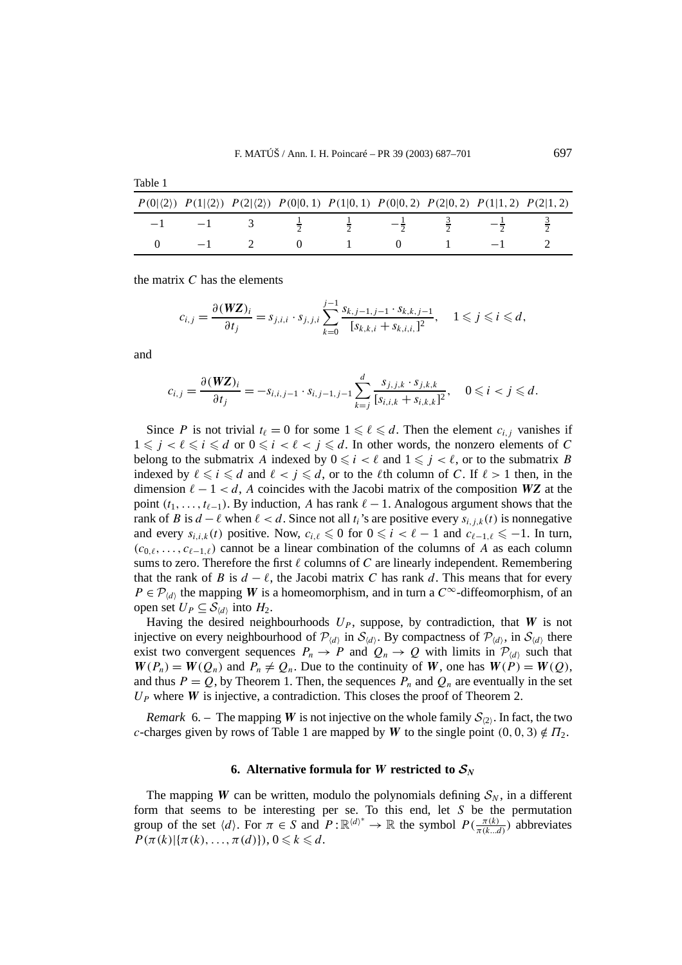|      |  | $P(0 \langle 2\rangle)$ $P(1 \langle 2\rangle)$ $P(2 \langle 2\rangle)$ $P(0 0,1)$ $P(1 0,1)$ $P(0 0,2)$ $P(2 0,2)$ $P(1 1,2)$ $P(2 1,2)$ |  |  |
|------|--|-------------------------------------------------------------------------------------------------------------------------------------------|--|--|
| $-1$ |  |                                                                                                                                           |  |  |
|      |  |                                                                                                                                           |  |  |

the matrix *C* has the elements

$$
c_{i,j} = \frac{\partial (WZ)_i}{\partial t_j} = s_{j,i,i} \cdot s_{j,j,i} \sum_{k=0}^{j-1} \frac{s_{k,j-1,j-1} \cdot s_{k,k,j-1}}{[s_{k,k,i} + s_{k,i,i}]^2}, \quad 1 \leq j \leq i \leq d,
$$

and

Table 1

$$
c_{i,j} = \frac{\partial (WZ)_i}{\partial t_j} = -s_{i,i,j-1} \cdot s_{i,j-1,j-1} \sum_{k=j}^d \frac{s_{j,j,k} \cdot s_{j,k,k}}{[s_{i,i,k} + s_{i,k,k}]^2}, \quad 0 \leq i < j \leq d.
$$

Since *P* is not trivial  $t_{\ell} = 0$  for some  $1 \leq \ell \leq d$ . Then the element  $c_{i,j}$  vanishes if  $1 \leq j < \ell \leq i \leq d$  or  $0 \leq i < \ell < j \leq d$ . In other words, the nonzero elements of *C* belong to the submatrix *A* indexed by  $0 \leq i < \ell$  and  $1 \leq j < \ell$ , or to the submatrix *B* indexed by  $\ell \leq i \leq d$  and  $\ell < j \leq d$ , or to the  $\ell$ th column of *C*. If  $\ell > 1$  then, in the dimension  $\ell - 1 < d$ , *A* coincides with the Jacobi matrix of the composition **WZ** at the point  $(t_1, \ldots, t_{\ell-1})$ . By induction, *A* has rank  $\ell - 1$ . Analogous argument shows that the rank of *B* is  $d - \ell$  when  $\ell < d$ . Since not all  $t_i$ 's are positive every  $s_{i,i,k}(t)$  is nonnegative and every  $s_{i,i,k}(t)$  positive. Now,  $c_{i,\ell} \leq 0$  for  $0 \leq i < \ell - 1$  and  $c_{\ell-1,\ell} \leq -1$ . In turn,  $(c_{0,\ell},...,c_{\ell-1,\ell})$  cannot be a linear combination of the columns of *A* as each column sums to zero. Therefore the first  $\ell$  columns of  $C$  are linearly independent. Remembering that the rank of *B* is  $d - \ell$ , the Jacobi matrix *C* has rank *d*. This means that for every  $P \in \mathcal{P}_{\langle d \rangle}$  the mapping *W* is a homeomorphism, and in turn a  $C^{\infty}$ -diffeomorphism, of an open set  $U_P \subseteq S_{\langle d \rangle}$  into  $H_2$ .

Having the desired neighbourhoods  $U_P$ , suppose, by contradiction, that *W* is not injective on every neighbourhood of  $\mathcal{P}_{(d)}$  in  $\mathcal{S}_{(d)}$ . By compactness of  $\mathcal{P}_{(d)}$ , in  $\mathcal{S}_{(d)}$  there exist two convergent sequences  $P_n \to P$  and  $Q_n \to Q$  with limits in  $P_{\langle d \rangle}$  such that  $W(P_n) = W(Q_n)$  and  $P_n \neq Q_n$ . Due to the continuity of *W*, one has  $W(P) = W(Q)$ , and thus  $P = Q$ , by Theorem 1. Then, the sequences  $P_n$  and  $Q_n$  are eventually in the set *UP* where *W* is injective, a contradiction. This closes the proof of Theorem 2.

*Remark* 6. – The mapping *W* is not injective on the whole family  $S_{(2)}$ . In fact, the two *c*-charges given by rows of Table 1 are mapped by *W* to the single point  $(0, 0, 3) \notin \Pi_2$ .

#### **6.** Alternative formula for *W* restricted to  $S_N$

The mapping *W* can be written, modulo the polynomials defining  $S_N$ , in a different form that seems to be interesting per se. To this end, let *S* be the permutation group of the set  $\langle d \rangle$ . For  $\pi \in S$  and  $P : \mathbb{R}^{\langle d \rangle^*} \to \mathbb{R}$  the symbol  $P(\frac{\pi(k)}{\pi(k...d)})$  abbreviates  $P(\pi(k)|{\pi(k), ..., \pi(d)}), 0 \leq k \leq d.$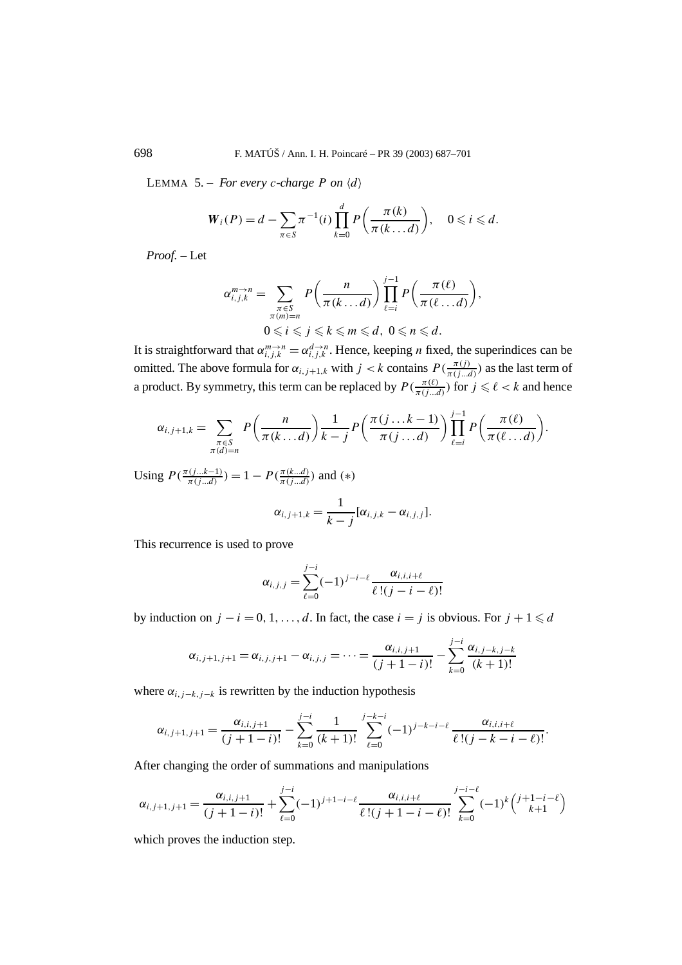LEMMA 5. – *For every c-charge P on*  $\langle d \rangle$ 

$$
W_i(P) = d - \sum_{\pi \in S} \pi^{-1}(i) \prod_{k=0}^d P\left(\frac{\pi(k)}{\pi(k \dots d)}\right), \quad 0 \leqslant i \leqslant d.
$$

*Proof. –* Let

$$
\alpha_{i,j,k}^{m\to n} = \sum_{\substack{\pi \in S \\ \pi(m)=n}} P\left(\frac{n}{\pi(k\ldots d)}\right) \prod_{\ell=i}^{j-1} P\left(\frac{\pi(\ell)}{\pi(\ell\ldots d)}\right),
$$
  

$$
0 \leqslant i \leqslant j \leqslant k \leqslant m \leqslant d, \ 0 \leqslant n \leqslant d.
$$

It is straightforward that  $\alpha_{i,j,k}^{m\to n} = \alpha_{i,j,k}^{d\to n}$ . Hence, keeping *n* fixed, the superindices can be omitted. The above formula for  $\alpha_{i,j+1,k}$  with  $j < k$  contains  $P(\frac{\pi(j)}{\pi(j...d)})$  as the last term of a product. By symmetry, this term can be replaced by  $P(\frac{\pi(\ell)}{\pi(j...d)})$  for  $j \leq \ell < k$  and hence

$$
\alpha_{i,j+1,k} = \sum_{\substack{\pi \in S \\ \pi(d)=n}} P\left(\frac{n}{\pi(k\ldots d)}\right) \frac{1}{k-j} P\left(\frac{\pi(j\ldots k-1)}{\pi(j\ldots d)}\right) \prod_{\ell=i}^{j-1} P\left(\frac{\pi(\ell)}{\pi(\ell\ldots d)}\right).
$$

Using  $P(\frac{\pi(j...k-1)}{\pi(j...d)}) = 1 - P(\frac{\pi(k...d)}{\pi(j...d)})$  and (\*)

$$
\alpha_{i,j+1,k} = \frac{1}{k-j} [\alpha_{i,j,k} - \alpha_{i,j,j}].
$$

This recurrence is used to prove

$$
\alpha_{i,j,j} = \sum_{\ell=0}^{j-i} (-1)^{j-i-\ell} \frac{\alpha_{i,i,i+\ell}}{\ell!(j-i-\ell)!}
$$

by induction on  $j - i = 0, 1, \ldots, d$ . In fact, the case  $i = j$  is obvious. For  $j + 1 \le d$ 

$$
\alpha_{i,j+1,j+1} = \alpha_{i,j,j+1} - \alpha_{i,j,j} = \cdots = \frac{\alpha_{i,i,j+1}}{(j+1-i)!} - \sum_{k=0}^{j-i} \frac{\alpha_{i,j-k,j-k}}{(k+1)!}
$$

where  $\alpha_{i,j-k,j-k}$  is rewritten by the induction hypothesis

$$
\alpha_{i,j+1,j+1} = \frac{\alpha_{i,i,j+1}}{(j+1-i)!} - \sum_{k=0}^{j-i} \frac{1}{(k+1)!} \sum_{\ell=0}^{j-k-i} (-1)^{j-k-i-\ell} \frac{\alpha_{i,i,i+\ell}}{\ell!(j-k-i-\ell)!}.
$$

After changing the order of summations and manipulations

$$
\alpha_{i,j+1,j+1} = \frac{\alpha_{i,i,j+1}}{(j+1-i)!} + \sum_{\ell=0}^{j-i} (-1)^{j+1-i-\ell} \frac{\alpha_{i,i,i+\ell}}{\ell!(j+1-i-\ell)!} \sum_{k=0}^{j-i-\ell} (-1)^k \binom{j+1-i-\ell}{k+1}
$$

which proves the induction step.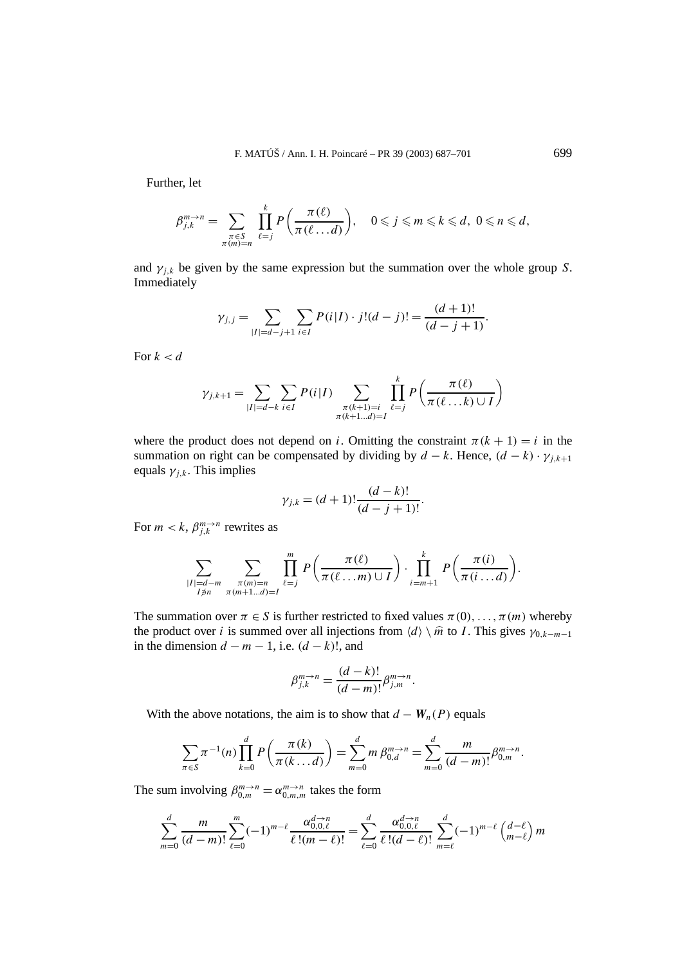Further, let

$$
\beta_{j,k}^{m\to n} = \sum_{\substack{\pi \in S \\ \pi(m)=n}} \prod_{\ell=j}^k P\left(\frac{\pi(\ell)}{\pi(\ell \dots d)}\right), \quad 0 \leqslant j \leqslant m \leqslant k \leqslant d, \ 0 \leqslant n \leqslant d,
$$

and  $\gamma_{j,k}$  be given by the same expression but the summation over the whole group *S*. Immediately

$$
\gamma_{j,j} = \sum_{|I|=d-j+1} \sum_{i \in I} P(i|I) \cdot j!(d-j)! = \frac{(d+1)!}{(d-j+1)}.
$$

For  $k < d$ 

$$
\gamma_{j,k+1} = \sum_{|I|=d-k} \sum_{i \in I} P(i|I) \sum_{\substack{\pi(k+1)=i \\ \pi(k+1...d)=I}} \prod_{\ell=j}^{k} P\left(\frac{\pi(\ell)}{\pi(\ell...k) \cup I}\right)
$$

where the product does not depend on *i*. Omitting the constraint  $\pi(k + 1) = i$  in the summation on right can be compensated by dividing by  $d - k$ . Hence,  $(d - k) \cdot \gamma_{j,k+1}$ equals  $\gamma_{i,k}$ . This implies

$$
\gamma_{j,k} = (d+1)! \frac{(d-k)!}{(d-j+1)!}.
$$

For  $m < k$ ,  $\beta_{i,k}^{m \to n}$  rewrites as

$$
\sum_{\substack{|I|=d-m\\I\neq n}}\sum_{\substack{\pi(m)=n\\ \pi(m+1...d)=I}}\prod_{\ell=j}^m P\left(\frac{\pi(\ell)}{\pi(\ell\dots m)\cup I}\right)\cdot \prod_{i=m+1}^k P\left(\frac{\pi(i)}{\pi(i\dots d)}\right).
$$

The summation over  $\pi \in S$  is further restricted to fixed values  $\pi(0), \ldots, \pi(m)$  whereby the product over *i* is summed over all injections from  $\langle d \rangle \setminus \hat{m}$  to *I*. This gives  $\gamma_{0,k-m-1}$ in the dimension  $d - m - 1$ , i.e.  $(d - k)$ !, and

$$
\beta_{j,k}^{m \to n} = \frac{(d-k)!}{(d-m)!} \beta_{j,m}^{m \to n}.
$$

With the above notations, the aim is to show that  $d - W_n(P)$  equals

$$
\sum_{\pi \in S} \pi^{-1}(n) \prod_{k=0}^d P\left(\frac{\pi(k)}{\pi(k \dots d)}\right) = \sum_{m=0}^d m \beta_{0,d}^{m \to n} = \sum_{m=0}^d \frac{m}{(d-m)!} \beta_{0,m}^{m \to n}.
$$

The sum involving  $\beta_{0,m}^{m \to n} = \alpha_{0,m,m}^{m \to n}$  takes the form

$$
\sum_{m=0}^{d} \frac{m}{(d-m)!} \sum_{\ell=0}^{m} (-1)^{m-\ell} \frac{\alpha_{0,0,\ell}^{d \to n}}{\ell!(m-\ell)!} = \sum_{\ell=0}^{d} \frac{\alpha_{0,0,\ell}^{d \to n}}{\ell!(d-\ell)!} \sum_{m=\ell}^{d} (-1)^{m-\ell} {d-\ell \choose m-\ell} m
$$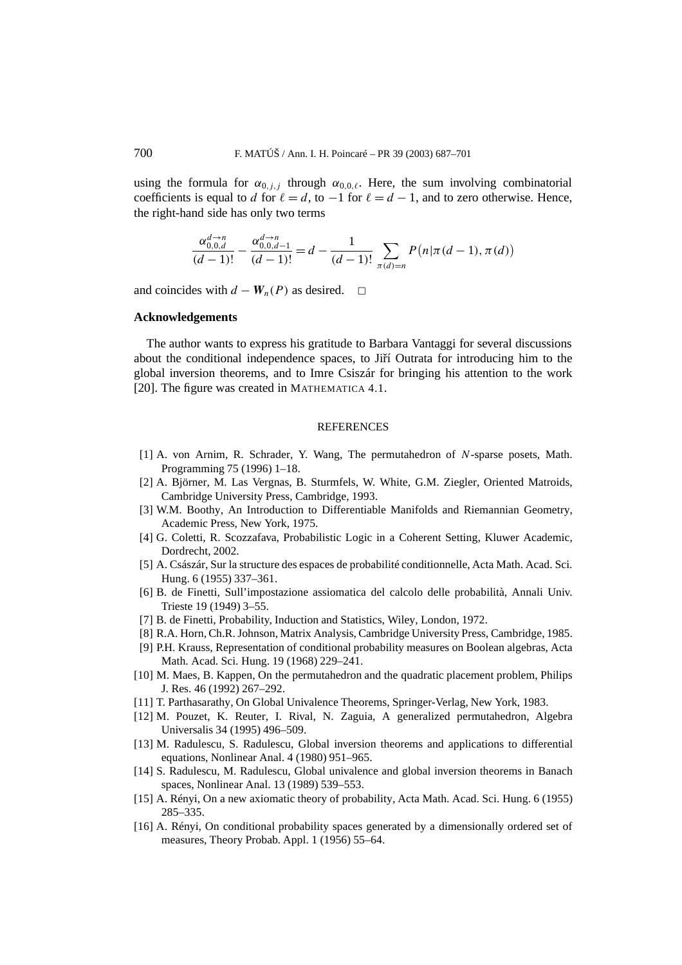using the formula for  $\alpha_{0,j,j}$  through  $\alpha_{0,0,\ell}$ . Here, the sum involving combinatorial coefficients is equal to *d* for  $\ell = d$ , to  $-1$  for  $\ell = d - 1$ , and to zero otherwise. Hence, the right-hand side has only two terms

$$
\frac{\alpha_{0,0,d}^{d\to n}}{(d-1)!} - \frac{\alpha_{0,0,d-1}^{d\to n}}{(d-1)!} = d - \frac{1}{(d-1)!} \sum_{\pi(d)=n} P(n|\pi(d-1), \pi(d))
$$

and coincides with  $d - W_n(P)$  as desired.  $□$ 

### **Acknowledgements**

The author wants to express his gratitude to Barbara Vantaggi for several discussions about the conditional independence spaces, to Jiří Outrata for introducing him to the global inversion theorems, and to Imre Csiszár for bringing his attention to the work [20]. The figure was created in MATHEMATICA 4.1.

### REFERENCES

- [1] A. von Arnim, R. Schrader, Y. Wang, The permutahedron of *N*-sparse posets, Math. Programming 75 (1996) 1–18.
- [2] A. Björner, M. Las Vergnas, B. Sturmfels, W. White, G.M. Ziegler, Oriented Matroids, Cambridge University Press, Cambridge, 1993.
- [3] W.M. Boothy, An Introduction to Differentiable Manifolds and Riemannian Geometry, Academic Press, New York, 1975.
- [4] G. Coletti, R. Scozzafava, Probabilistic Logic in a Coherent Setting, Kluwer Academic, Dordrecht, 2002.
- [5] A. Császár, Sur la structure des espaces de probabilité conditionnelle, Acta Math. Acad. Sci. Hung. 6 (1955) 337–361.
- [6] B. de Finetti, Sull'impostazione assiomatica del calcolo delle probabilità, Annali Univ. Trieste 19 (1949) 3–55.
- [7] B. de Finetti, Probability, Induction and Statistics, Wiley, London, 1972.
- [8] R.A. Horn, Ch.R. Johnson, Matrix Analysis, Cambridge University Press, Cambridge, 1985.
- [9] P.H. Krauss, Representation of conditional probability measures on Boolean algebras, Acta Math. Acad. Sci. Hung. 19 (1968) 229–241.
- [10] M. Maes, B. Kappen, On the permutahedron and the quadratic placement problem, Philips J. Res. 46 (1992) 267–292.
- [11] T. Parthasarathy, On Global Univalence Theorems, Springer-Verlag, New York, 1983.
- [12] M. Pouzet, K. Reuter, I. Rival, N. Zaguia, A generalized permutahedron, Algebra Universalis 34 (1995) 496–509.
- [13] M. Radulescu, S. Radulescu, Global inversion theorems and applications to differential equations, Nonlinear Anal. 4 (1980) 951–965.
- [14] S. Radulescu, M. Radulescu, Global univalence and global inversion theorems in Banach spaces, Nonlinear Anal. 13 (1989) 539–553.
- [15] A. Rényi, On a new axiomatic theory of probability, Acta Math. Acad. Sci. Hung. 6 (1955) 285–335.
- [16] A. Rényi, On conditional probability spaces generated by a dimensionally ordered set of measures, Theory Probab. Appl. 1 (1956) 55–64.